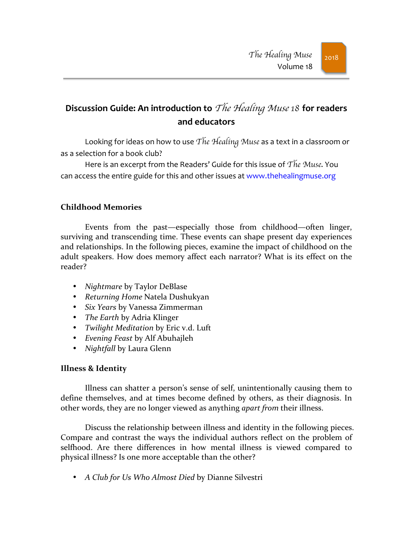# **Discussion Guide: An introduction to** *The Healing Muse* 18 **for readers and educators**

Looking for ideas on how to use The Healing Muse as a text in a classroom or as a selection for a book club?

Here is an excerpt from the Readers' Guide for this issue of  $The$  Muse. You can access the entire guide for this and other issues at www.thehealingmuse.org

## **Childhood Memories**

Events from the past—especially those from childhood—often linger, surviving and transcending time. These events can shape present day experiences and relationships. In the following pieces, examine the impact of childhood on the adult speakers. How does memory affect each narrator? What is its effect on the reader?

- *Nightmare* by Taylor DeBlase
- Returning Home Natela Dushukyan
- *Six Years* by Vanessa Zimmerman
- *The Earth* by Adria Klinger
- *Twilight Meditation* by Eric v.d. Luft
- *Evening Feast* by Alf Abuhajleh
- *Nightfall* by Laura Glenn

#### **Illness & Identity**

Illness can shatter a person's sense of self, unintentionally causing them to define themselves, and at times become defined by others, as their diagnosis. In other words, they are no longer viewed as anything *apart from* their illness.

Discuss the relationship between illness and identity in the following pieces. Compare and contrast the ways the individual authors reflect on the problem of selfhood. Are there differences in how mental illness is viewed compared to physical illness? Is one more acceptable than the other?

• A Club for Us Who Almost Died by Dianne Silvestri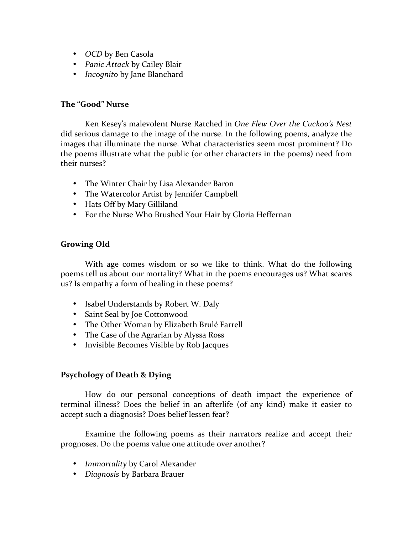- OCD by Ben Casola
- *Panic Attack* by Cailey Blair
- *Incognito* by Jane Blanchard

#### **The "Good" Nurse**

Ken Kesey's malevolent Nurse Ratched in *One Flew Over the Cuckoo's Nest* did serious damage to the image of the nurse. In the following poems, analyze the images that illuminate the nurse. What characteristics seem most prominent? Do the poems illustrate what the public (or other characters in the poems) need from their nurses?

- The Winter Chair by Lisa Alexander Baron
- The Watercolor Artist by Jennifer Campbell
- Hats Off by Mary Gilliland
- For the Nurse Who Brushed Your Hair by Gloria Heffernan

### Growing Old

With age comes wisdom or so we like to think. What do the following poems tell us about our mortality? What in the poems encourages us? What scares us? Is empathy a form of healing in these poems?

- Isabel Understands by Robert W. Daly
- Saint Seal by Joe Cottonwood
- The Other Woman by Elizabeth Brulé Farrell
- The Case of the Agrarian by Alyssa Ross
- Invisible Becomes Visible by Rob Jacques

#### **Psychology of Death & Dying**

How do our personal conceptions of death impact the experience of terminal illness? Does the belief in an afterlife (of any kind) make it easier to accept such a diagnosis? Does belief lessen fear?

Examine the following poems as their narrators realize and accept their prognoses. Do the poems value one attitude over another?

- *Immortality* by Carol Alexander
- *Diagnosis* by Barbara Brauer